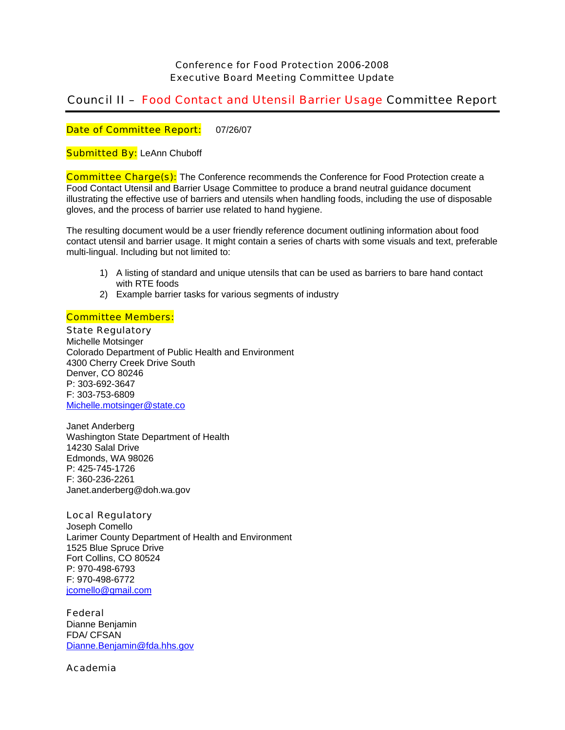### Conference for Food Protection 2006-2008 Executive Board Meeting Committee Update

# Council II – Food Contact and Utensil Barrier Usage Committee Report

Date of Committee Report: 07/26/07

**Submitted By: LeAnn Chuboff** 

**Committee Charge(s):** The Conference recommends the Conference for Food Protection create a Food Contact Utensil and Barrier Usage Committee to produce a brand neutral guidance document illustrating the effective use of barriers and utensils when handling foods, including the use of disposable gloves, and the process of barrier use related to hand hygiene.

The resulting document would be a user friendly reference document outlining information about food contact utensil and barrier usage. It might contain a series of charts with some visuals and text, preferable multi-lingual. Including but not limited to:

- 1) A listing of standard and unique utensils that can be used as barriers to bare hand contact with RTE foods
- 2) Example barrier tasks for various segments of industry

#### Committee Members:

State Regulatory Michelle Motsinger Colorado Department of Public Health and Environment 4300 Cherry Creek Drive South Denver, CO 80246 P: 303-692-3647 F: 303-753-6809 [Michelle.motsinger@state.co](mailto:Michelle.motsinger@state.co)

Janet Anderberg Washington State Department of Health 14230 Salal Drive Edmonds, WA 98026 P: 425-745-1726 F: 360-236-2261 Janet.anderberg@doh.wa.gov

#### Local Regulatory

Joseph Comello Larimer County Department of Health and Environment 1525 Blue Spruce Drive Fort Collins, CO 80524 P: 970-498-6793 F: 970-498-6772 [jcomello@gmail.com](mailto:jcomello@gmail.com)

Federal Dianne Benjamin FDA/ CFSAN [Dianne.Benjamin@fda.hhs.gov](mailto:Dianne.Benjamin@fda.hhs.gov)

### Academia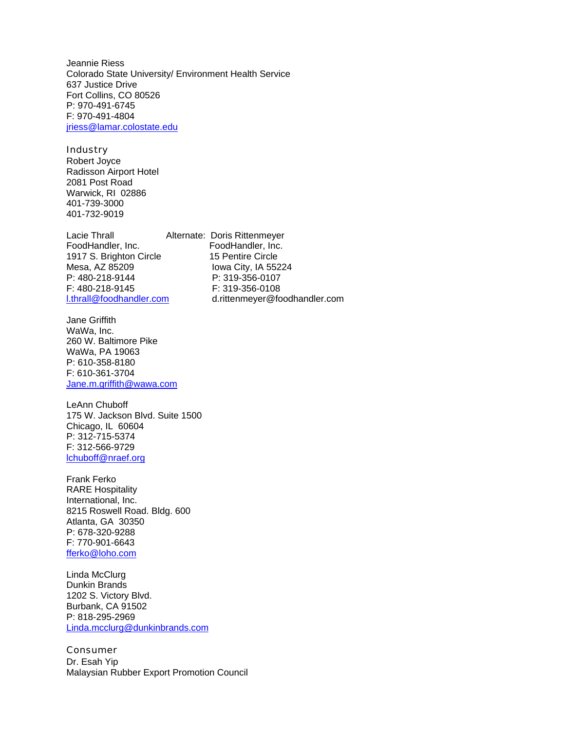Jeannie Riess Colorado State University/ Environment Health Service 637 Justice Drive Fort Collins, CO 80526 P: 970-491-6745 F: 970-491-4804 [jriess@lamar.colostate.edu](mailto:jriess@lamar.colostate.edu)

#### **Industry**

Robert Joyce Radisson Airport Hotel 2081 Post Road Warwick, RI 02886 401-739-3000 401-732-9019

Lacie Thrall Alternate: Doris Rittenmeyer FoodHandler, Inc. **FoodHandler**, Inc. 1917 S. Brighton Circle 15 Pentire Circle Mesa, AZ 85209 **Iowa City, IA 55224** P: 480-218-9144 P: 319-356-0107 F: 480-218-9145 F: 319-356-0108

Jane Griffith WaWa, Inc. 260 W. Baltimore Pike WaWa, PA 19063 P: 610-358-8180 F: 610-361-3704 [Jane.m.griffith@wawa.com](mailto:Jane.m.griffith@wawa.com)

LeAnn Chuboff 175 W. Jackson Blvd. Suite 1500 Chicago, IL 60604 P: 312-715-5374 F: 312-566-9729 [lchuboff@nraef.org](mailto:lchuboff@nraef.org)

Frank Ferko RARE Hospitality International, Inc. 8215 Roswell Road. Bldg. 600 Atlanta, GA 30350 P: 678-320-9288 F: 770-901-6643 [fferko@loho.com](mailto:fferko@loho.com)

Linda McClurg Dunkin Brands 1202 S. Victory Blvd. Burbank, CA 91502 P: 818-295-2969 [Linda.mcclurg@dunkinbrands.com](mailto:Linda.mcclurg@dunkinbrands.com)

#### Consumer

Dr. Esah Yip Malaysian Rubber Export Promotion Council

[l.thrall@foodhandler.com](mailto:l.thrall@foodhandler.com) d.rittenmeyer@foodhandler.com